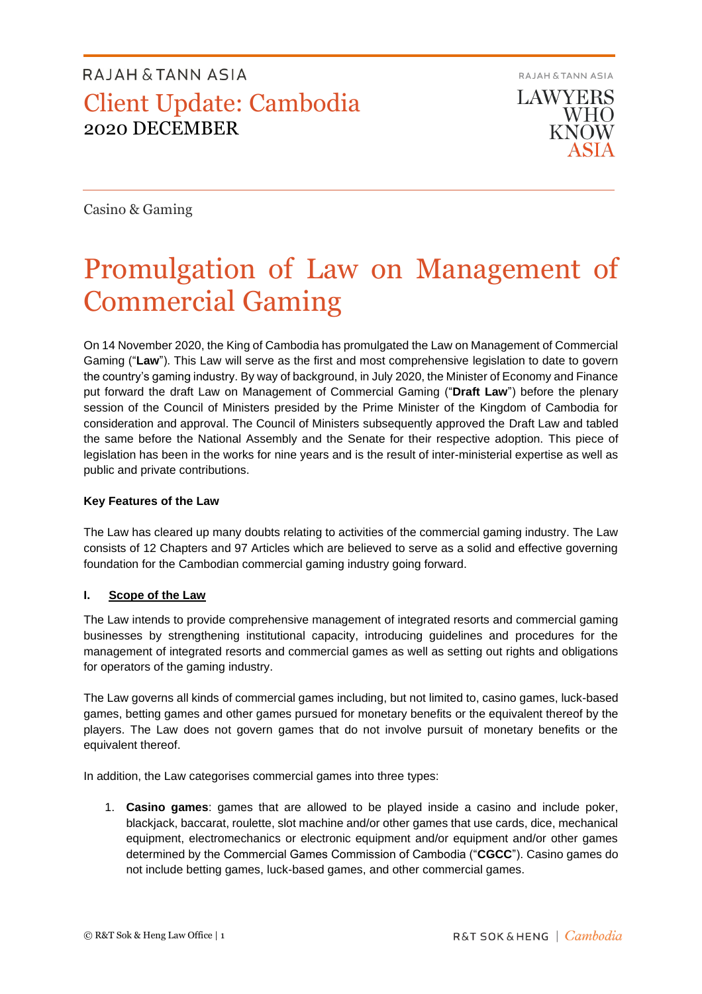**RAJAH & TANN ASIA** 

**LAWYERS WHO KNOW** 

Casino & Gaming

# Promulgation of Law on Management of Commercial Gaming

On 14 November 2020, the King of Cambodia has promulgated the Law on Management of Commercial Gaming ("**Law**"). This Law will serve as the first and most comprehensive legislation to date to govern the country's gaming industry. By way of background, in July 2020, the Minister of Economy and Finance put forward the draft Law on Management of Commercial Gaming ("**Draft Law**") before the plenary session of the Council of Ministers presided by the Prime Minister of the Kingdom of Cambodia for consideration and approval. The Council of Ministers subsequently approved the Draft Law and tabled the same before the National Assembly and the Senate for their respective adoption. This piece of legislation has been in the works for nine years and is the result of inter-ministerial expertise as well as public and private contributions.

### **Key Features of the Law**

The Law has cleared up many doubts relating to activities of the commercial gaming industry. The Law consists of 12 Chapters and 97 Articles which are believed to serve as a solid and effective governing foundation for the Cambodian commercial gaming industry going forward.

### **I. Scope of the Law**

The Law intends to provide comprehensive management of integrated resorts and commercial gaming businesses by strengthening institutional capacity, introducing guidelines and procedures for the management of integrated resorts and commercial games as well as setting out rights and obligations for operators of the gaming industry.

The Law governs all kinds of commercial games including, but not limited to, casino games, luck-based games, betting games and other games pursued for monetary benefits or the equivalent thereof by the players. The Law does not govern games that do not involve pursuit of monetary benefits or the equivalent thereof.

In addition, the Law categorises commercial games into three types:

1. **Casino games**: games that are allowed to be played inside a casino and include poker, blackjack, baccarat, roulette, slot machine and/or other games that use cards, dice, mechanical equipment, electromechanics or electronic equipment and/or equipment and/or other games determined by the Commercial Games Commission of Cambodia ("**CGCC**"). Casino games do not include betting games, luck-based games, and other commercial games.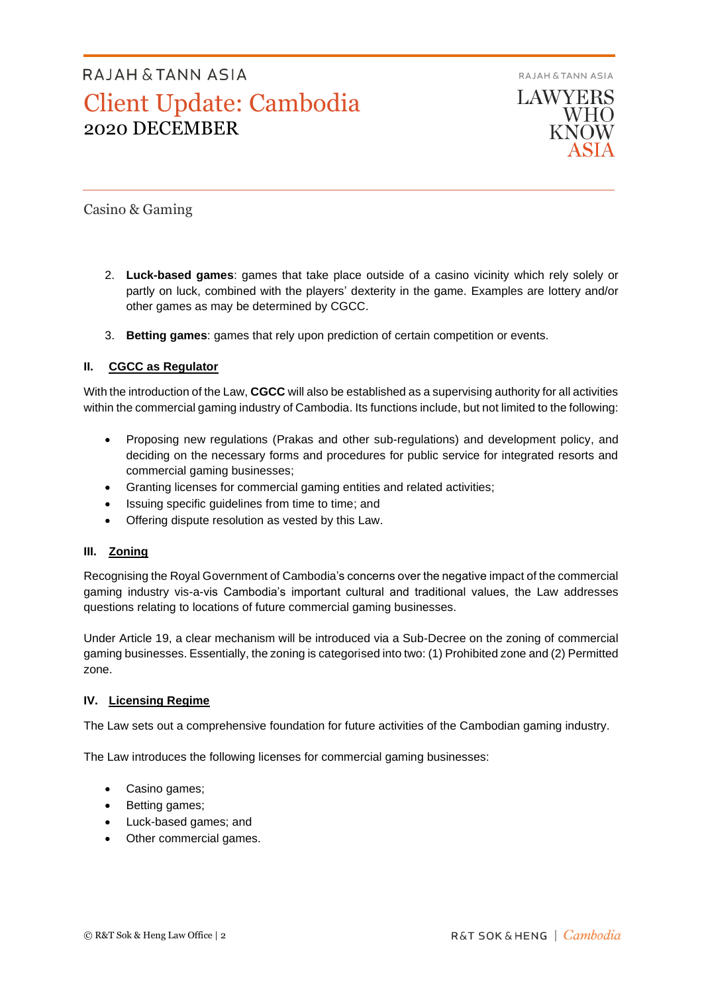**RAJAH & TANN ASIA LAWYERS WHO KNOW** 

Casino & Gaming

- 2. **Luck-based games**: games that take place outside of a casino vicinity which rely solely or partly on luck, combined with the players' dexterity in the game. Examples are lottery and/or other games as may be determined by CGCC.
- 3. **Betting games**: games that rely upon prediction of certain competition or events.

### **II. CGCC as Regulator**

With the introduction of the Law, **CGCC** will also be established as a supervising authority for all activities within the commercial gaming industry of Cambodia. Its functions include, but not limited to the following:

- Proposing new regulations (Prakas and other sub-regulations) and development policy, and deciding on the necessary forms and procedures for public service for integrated resorts and commercial gaming businesses;
- Granting licenses for commercial gaming entities and related activities;
- Issuing specific guidelines from time to time; and
- Offering dispute resolution as vested by this Law.

### **III. Zoning**

Recognising the Royal Government of Cambodia's concerns over the negative impact of the commercial gaming industry vis-a-vis Cambodia's important cultural and traditional values, the Law addresses questions relating to locations of future commercial gaming businesses.

Under Article 19, a clear mechanism will be introduced via a Sub-Decree on the zoning of commercial gaming businesses. Essentially, the zoning is categorised into two: (1) Prohibited zone and (2) Permitted zone.

### **IV. Licensing Regime**

The Law sets out a comprehensive foundation for future activities of the Cambodian gaming industry.

The Law introduces the following licenses for commercial gaming businesses:

- Casino games;
- Betting games;
- Luck-based games; and
- Other commercial games.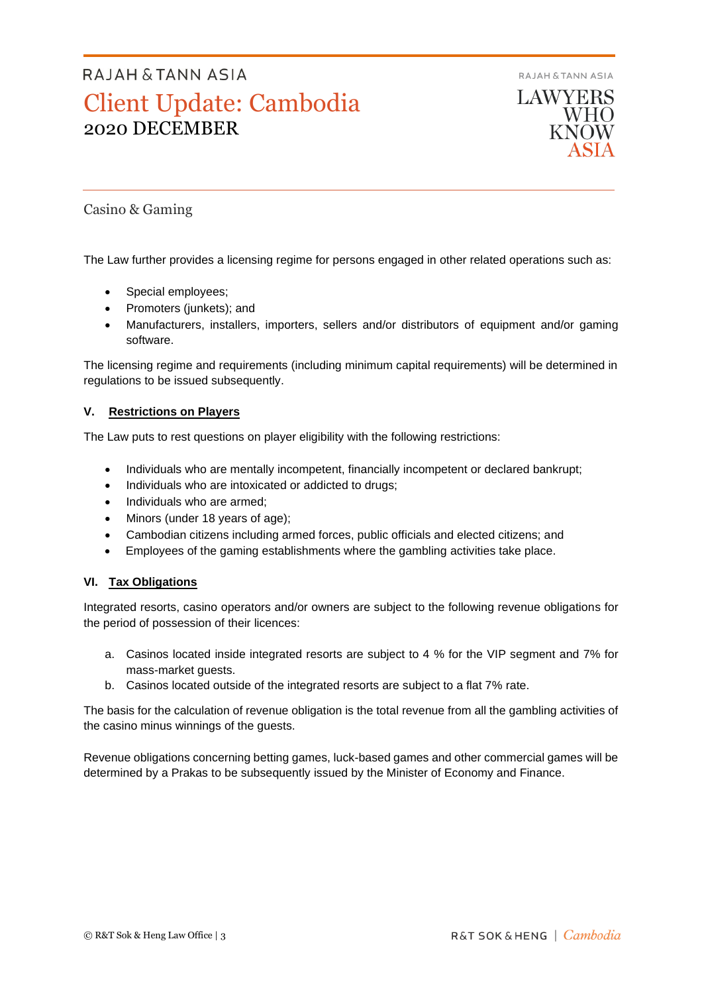**RAJAH & TANN ASIA** 



Casino & Gaming

The Law further provides a licensing regime for persons engaged in other related operations such as:

- Special employees;
- Promoters (junkets); and
- Manufacturers, installers, importers, sellers and/or distributors of equipment and/or gaming software.

The licensing regime and requirements (including minimum capital requirements) will be determined in regulations to be issued subsequently.

### **V. Restrictions on Players**

The Law puts to rest questions on player eligibility with the following restrictions:

- Individuals who are mentally incompetent, financially incompetent or declared bankrupt;
- Individuals who are intoxicated or addicted to drugs;
- Individuals who are armed;
- Minors (under 18 years of age);
- Cambodian citizens including armed forces, public officials and elected citizens; and
- Employees of the gaming establishments where the gambling activities take place.

### **VI. Tax Obligations**

Integrated resorts, casino operators and/or owners are subject to the following revenue obligations for the period of possession of their licences:

- a. Casinos located inside integrated resorts are subject to 4 % for the VIP segment and 7% for mass-market guests.
- b. Casinos located outside of the integrated resorts are subject to a flat 7% rate.

The basis for the calculation of revenue obligation is the total revenue from all the gambling activities of the casino minus winnings of the guests.

Revenue obligations concerning betting games, luck-based games and other commercial games will be determined by a Prakas to be subsequently issued by the Minister of Economy and Finance.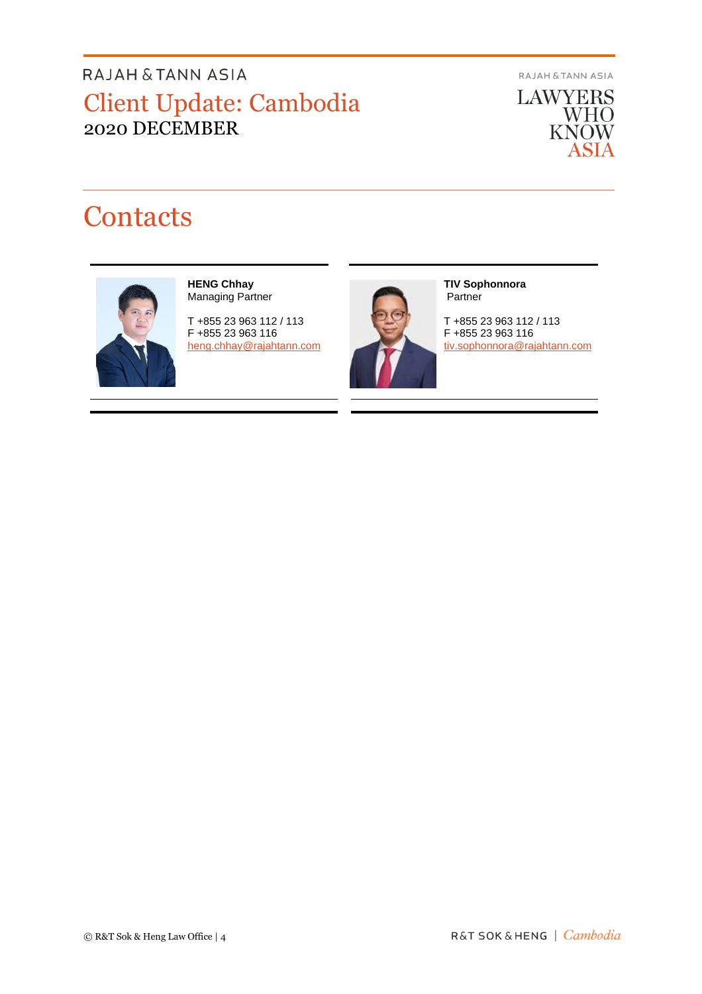RAJAH & TANN ASIA

**LAWYERS** WHO<br>KNOW ASIA

# **Contacts**



#### **HENG Chhay** Managing Partner

T +855 23 963 112 / 113 F +855 23 963 116 [heng.chhay@rajahtann.com](mailto:heng.chhay@rajahtann.com)



#### **TIV Sophonnora** Partner

T +855 23 963 112 / 113 F +855 23 963 116 [tiv.sophonnora@rajahtann.com](mailto:tiv.sophonnora@rajahtann.com)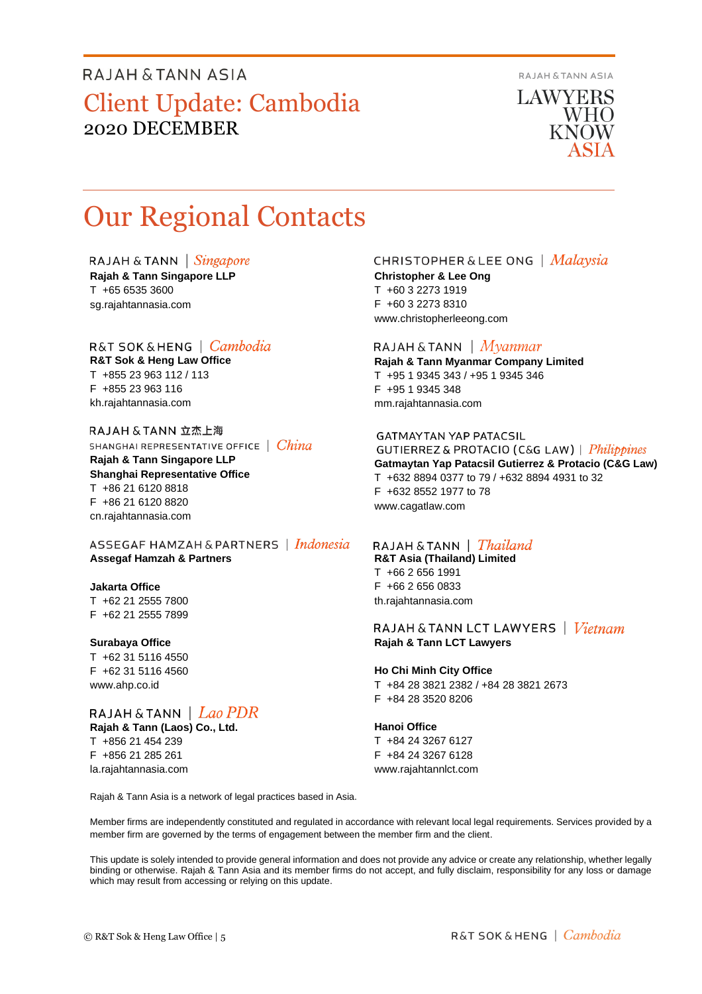**RAJAH & TANN ASIA** 

**LAWYERS** WHO **KNOW** 

# Our Regional Contacts

RAJAH & TANN  $\int$  *Singapore* **Rajah & Tann Singapore LLP** T +65 6535 3600 sg.rajahtannasia.com

## R&T SOK&HENG | Cambodia

**R&T Sok & Heng Law Office** T +855 23 963 112 / 113 F +855 23 963 116 kh.rajahtannasia.com

RAJAH & TANN 立杰上海 SHANGHAI REPRESENTATIVE OFFICE | China

**Rajah & Tann Singapore LLP Shanghai Representative Office** T +86 21 6120 8818 F +86 21 6120 8820 cn.rajahtannasia.com

ASSEGAF HAMZAH & PARTNERS | Indonesia **Assegaf Hamzah & Partners**

### **Jakarta Office**

T +62 21 2555 7800 F +62 21 2555 7899

#### **Surabaya Office**

T +62 31 5116 4550 F +62 31 5116 4560 www.ahp.co.id

## RAJAH & TANN | Lao PDR

**Rajah & Tann (Laos) Co., Ltd.** T +856 21 454 239 F +856 21 285 261 la.rajahtannasia.com

### **CHRISTOPHER & LEE ONG** | Malaysia

**Christopher & Lee Ong** T +60 3 2273 1919 F +60 3 2273 8310 www.christopherleeong.com

### RAJAH & TANN  $\mid$  *Myanmar*

**Rajah & Tann Myanmar Company Limited** T +95 1 9345 343 / +95 1 9345 346 F +95 1 9345 348 mm.rajahtannasia.com

### **GATMAYTAN YAP PATACSIL**

**GUTIERREZ & PROTACIO (C&G LAW)** | *Philippines* **Gatmaytan Yap Patacsil Gutierrez & Protacio (C&G Law)**  T +632 8894 0377 to 79 / +632 8894 4931 to 32 F +632 8552 1977 to 78 www.cagatlaw.com

## RAJAH & TANN | *Thailand*

**R&T Asia (Thailand) Limited** T +66 2 656 1991 F +66 2 656 0833 th.rajahtannasia.com

### RAJAH & TANN LCT LAWYERS | Vietnam **Rajah & Tann LCT Lawyers**

### **Ho Chi Minh City Office**

T +84 28 3821 2382 / +84 28 3821 2673 F +84 28 3520 8206

### **Hanoi Office**

T +84 24 3267 6127 F +84 24 3267 6128 www.rajahtannlct.com

Rajah & Tann Asia is a network of legal practices based in Asia.

Member firms are independently constituted and regulated in accordance with relevant local legal requirements. Services provided by a member firm are governed by the terms of engagement between the member firm and the client.

This update is solely intended to provide general information and does not provide any advice or create any relationship, whether legally binding or otherwise. Rajah & Tann Asia and its member firms do not accept, and fully disclaim, responsibility for any loss or damage which may result from accessing or relying on this update.